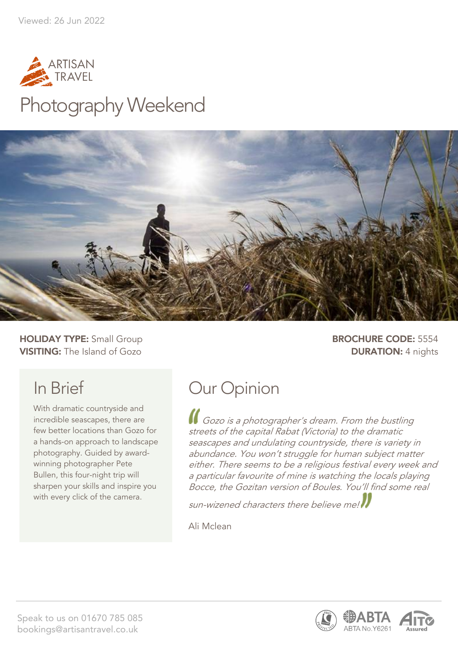

# Photography Weekend



**HOLIDAY TYPE:** Small Group **BROCHURE CODE:** 5554 **VISITING:** The Island of Gozo **DURATION:** 4 nights

# In Brief

With dramatic countryside and incredible seascapes, there are few better locations than Gozo for a hands-on approach to landscape photography. Guided by awardwinning photographer Pete Bullen, this four-night trip will sharpen your skills and inspire you with every click of the camera.

# Our Opinion

Gozo is a photographer's dream. From the bustling streets of the capital Rabat (Victoria) to the dramatic seascapes and undulating countryside, there is variety in abundance. You won't struggle for human subject matter either. There seems to be a religious festival every week and a particular favourite of mine is watching the locals playing Bocce, the Gozitan version of Boules. You'll find some real

sun-wizened characters there believe me!

Ali Mclean



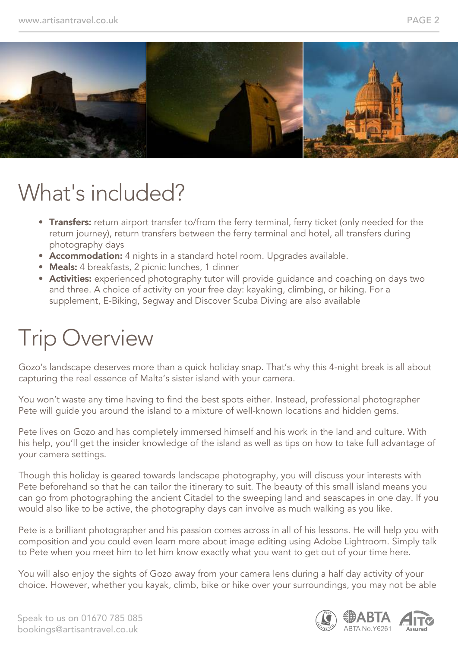![](_page_1_Picture_2.jpeg)

# What's included?

- Transfers: return airport transfer to/from the ferry terminal, ferry ticket (only needed for the return journey), return transfers between the ferry terminal and hotel, all transfers during photography days
- Accommodation: 4 nights in a standard hotel room. Upgrades available.
- Meals: 4 breakfasts, 2 picnic lunches, 1 dinner
- **Activities:** experienced photography tutor will provide quidance and coaching on days two and three. A choice of activity on your free day: kayaking, climbing, or hiking. For a supplement, E-Biking, Segway and Discover Scuba Diving are also available

# Trip Overview

Gozo's landscape deserves more than a quick holiday snap. That's why this 4-night break is all about capturing the real essence of Malta's sister island with your camera.

You won't waste any time having to find the best spots either. Instead, professional photographer Pete will guide you around the island to a mixture of well-known locations and hidden gems.

Pete lives on Gozo and has completely immersed himself and his work in the land and culture. With his help, you'll get the insider knowledge of the island as well as tips on how to take full advantage of your camera settings.

Though this holiday is geared towards landscape photography, you will discuss your interests with Pete beforehand so that he can tailor the itinerary to suit. The beauty of this small island means you can go from photographing the ancient Citadel to the sweeping land and seascapes in one day. If you would also like to be active, the photography days can involve as much walking as you like.

Pete is a brilliant photographer and his passion comes across in all of his lessons. He will help you with composition and you could even learn more about image editing using Adobe Lightroom. Simply talk to Pete when you meet him to let him know exactly what you want to get out of your time here.

You will also enjoy the sights of Gozo away from your camera lens during a half day activity of your choice. However, whether you kayak, climb, bike or hike over your surroundings, you may not be able

![](_page_1_Picture_16.jpeg)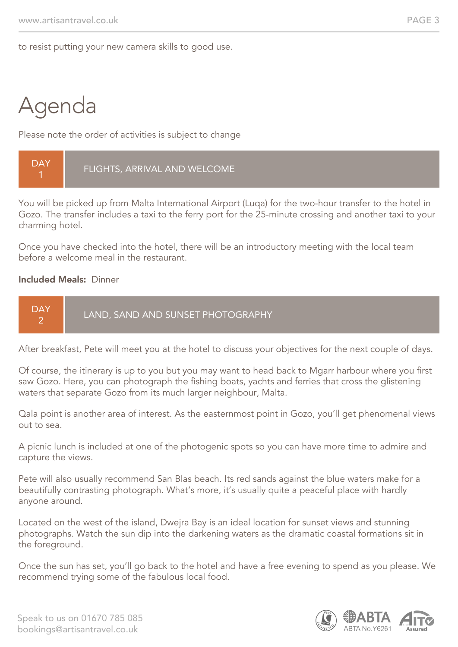to resist putting your new camera skills to good use.

# Agenda

Please note the order of activities is subject to change

![](_page_2_Picture_5.jpeg)

You will be picked up from Malta International Airport (Luqa) for the two-hour transfer to the hotel in Gozo. The transfer includes a taxi to the ferry port for the 25-minute crossing and another taxi to your charming hotel.

Once you have checked into the hotel, there will be an introductory meeting with the local team before a welcome meal in the restaurant.

#### Included Meals: Dinner

![](_page_2_Figure_9.jpeg)

After breakfast, Pete will meet you at the hotel to discuss your objectives for the next couple of days.

Of course, the itinerary is up to you but you may want to head back to Mgarr harbour where you first saw Gozo. Here, you can photograph the fishing boats, yachts and ferries that cross the glistening waters that separate Gozo from its much larger neighbour, Malta.

Qala point is another area of interest. As the easternmost point in Gozo, you'll get phenomenal views out to sea.

A picnic lunch is included at one of the photogenic spots so you can have more time to admire and capture the views.

Pete will also usually recommend San Blas beach. Its red sands against the blue waters make for a beautifully contrasting photograph. What's more, it's usually quite a peaceful place with hardly anyone around.

Located on the west of the island, Dwejra Bay is an ideal location for sunset views and stunning photographs. Watch the sun dip into the darkening waters as the dramatic coastal formations sit in the foreground.

Once the sun has set, you'll go back to the hotel and have a free evening to spend as you please. We recommend trying some of the fabulous local food.

![](_page_2_Picture_17.jpeg)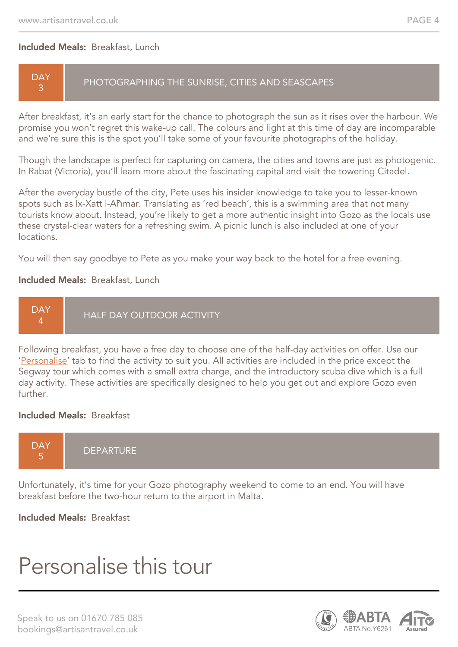#### Included Meals: Breakfast, Lunch

#### **DAY** 3

#### PHOTOGRAPHING THE SUNRISE, CITIES AND SEASCAPES

After breakfast, it's an early start for the chance to photograph the sun as it rises over the harbour. We promise you won't regret this wake-up call. The colours and light at this time of day are incomparable and we're sure this is the spot you'll take some of your favourite photographs of the holiday.

Though the landscape is perfect for capturing on camera, the cities and towns are just as photogenic. In Rabat (Victoria), you'll learn more about the fascinating capital and visit the towering Citadel.

After the everyday bustle of the city, Pete uses his insider knowledge to take you to lesser-known spots such as Ix-Xatt l-Aħmar. Translating as 'red beach', this is a swimming area that not many tourists know about. Instead, you're likely to get a more authentic insight into Gozo as the locals use these crystal-clear waters for a refreshing swim. A picnic lunch is also included at one of your locations.

You will then say goodbye to Pete as you make your way back to the hotel for a free evening.

#### Included Meals: Breakfast, Lunch

![](_page_3_Figure_10.jpeg)

Following breakfast, you have a free day to choose one of the half-day activities on offer. Use our 'Personalise' tab to find the activity to suit you. All activities are included in the price except the Segway tour which comes with a small extra charge, and the introductory scuba dive which is a full day activity. These activities are specifically designed to help you get out and explore Gozo even further.

#### Included Meals: Breakfast

![](_page_3_Figure_13.jpeg)

Unfortunately, it's time for your Gozo photography weekend to come to an end. You will have breakfast before the two-hour return to the airport in Malta.

Included Meals: Breakfast

# Personalise this tour

![](_page_3_Picture_18.jpeg)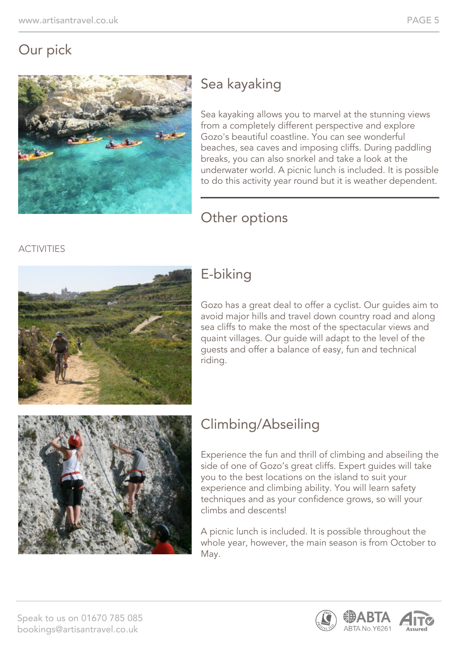## Our pick

![](_page_4_Picture_3.jpeg)

# Sea kayaking

Sea kayaking allows you to marvel at the stunning views from a completely different perspective and explore Gozo's beautiful coastline. You can see wonderful beaches, sea caves and imposing cliffs. During paddling breaks, you can also snorkel and take a look at the underwater world. A picnic lunch is included. It is possible to do this activity year round but it is weather dependent.

### Other options

#### **ACTIVITIES**

![](_page_4_Picture_8.jpeg)

## E-biking

Gozo has a great deal to offer a cyclist. Our guides aim to avoid major hills and travel down country road and along sea cliffs to make the most of the spectacular views and quaint villages. Our guide will adapt to the level of the guests and offer a balance of easy, fun and technical riding.

![](_page_4_Picture_11.jpeg)

# Climbing/Abseiling

Experience the fun and thrill of climbing and abseiling the side of one of Gozo's great cliffs. Expert guides will take you to the best locations on the island to suit your experience and climbing ability. You will learn safety techniques and as your confidence grows, so will your climbs and descents!

A picnic lunch is included. It is possible throughout the whole year, however, the main season is from October to May.

![](_page_4_Picture_15.jpeg)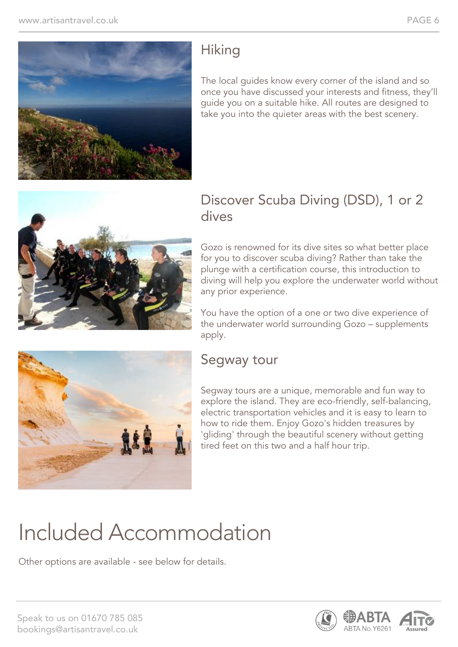![](_page_5_Picture_2.jpeg)

## **Hiking**

The local guides know every corner of the island and so once you have discussed your interests and fitness, they'll guide you on a suitable hike. All routes are designed to take you into the quieter areas with the best scenery.

![](_page_5_Picture_5.jpeg)

### Discover Scuba Diving (DSD), 1 or 2 dives

Gozo is renowned for its dive sites so what better place for you to discover scuba diving? Rather than take the plunge with a certification course, this introduction to diving will help you explore the underwater world without any prior experience.

You have the option of a one or two dive experience of the underwater world surrounding Gozo – supplements apply.

### Segway tour

Segway tours are a unique, memorable and fun way to explore the island. They are eco-friendly, self-balancing, electric transportation vehicles and it is easy to learn to how to ride them. Enjoy Gozo's hidden treasures by 'gliding' through the beautiful scenery without getting tired feet on this two and a half hour trip.

# Included Accommodation

Other options are available - see below for details.

![](_page_5_Picture_14.jpeg)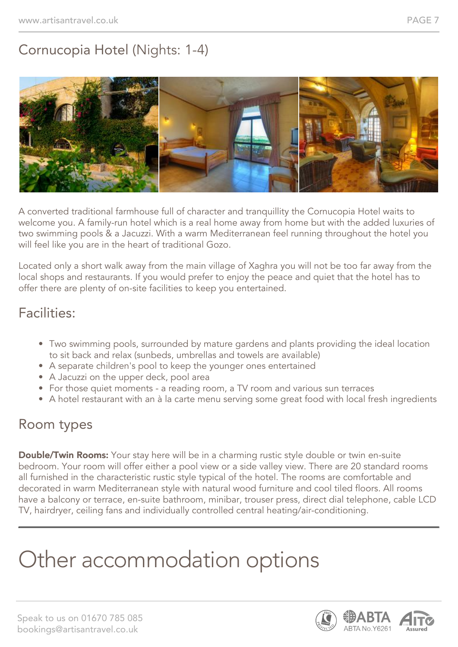## Cornucopia Hotel (Nights: 1-4)

![](_page_6_Picture_3.jpeg)

A converted traditional farmhouse full of character and tranquillity the Cornucopia Hotel waits to welcome you. A family-run hotel which is a real home away from home but with the added luxuries of two swimming pools & a Jacuzzi. With a warm Mediterranean feel running throughout the hotel you will feel like you are in the heart of traditional Gozo.

Located only a short walk away from the main village of Xaghra you will not be too far away from the local shops and restaurants. If you would prefer to enjoy the peace and quiet that the hotel has to offer there are plenty of on-site facilities to keep you entertained.

### Facilities:

- Two swimming pools, surrounded by mature gardens and plants providing the ideal location to sit back and relax (sunbeds, umbrellas and towels are available)
- A separate children's pool to keep the younger ones entertained
- A Jacuzzi on the upper deck, pool area
- For those quiet moments a reading room, a TV room and various sun terraces
- A hotel restaurant with an à la carte menu serving some great food with local fresh ingredients

### Room types

**Double/Twin Rooms:** Your stay here will be in a charming rustic style double or twin en-suite bedroom. Your room will offer either a pool view or a side valley view. There are 20 standard rooms all furnished in the characteristic rustic style typical of the hotel. The rooms are comfortable and decorated in warm Mediterranean style with natural wood furniture and cool tiled floors. All rooms have a balcony or terrace, en-suite bathroom, minibar, trouser press, direct dial telephone, cable LCD TV, hairdryer, ceiling fans and individually controlled central heating/air-conditioning.

# Other accommodation options

![](_page_6_Picture_16.jpeg)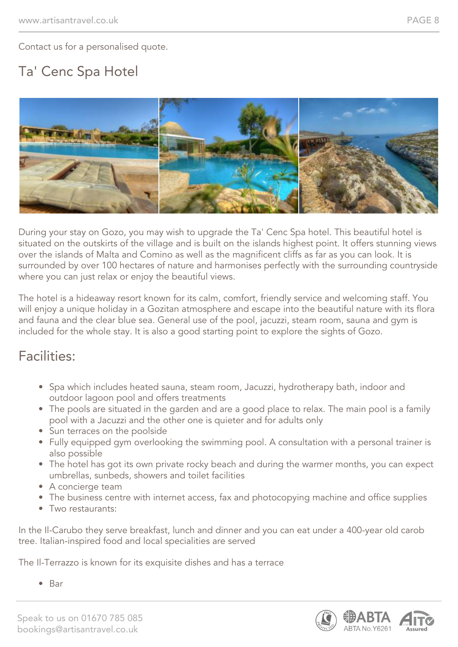Contact us for a personalised quote.

## Ta' Cenc Spa Hotel

![](_page_7_Picture_4.jpeg)

During your stay on Gozo, you may wish to upgrade the Ta' Cenc Spa hotel. This beautiful hotel is situated on the outskirts of the village and is built on the islands highest point. It offers stunning views over the islands of Malta and Comino as well as the magnificent cliffs as far as you can look. It is surrounded by over 100 hectares of nature and harmonises perfectly with the surrounding countryside where you can just relax or enjoy the beautiful views.

The hotel is a hideaway resort known for its calm, comfort, friendly service and welcoming staff. You will enjoy a unique holiday in a Gozitan atmosphere and escape into the beautiful nature with its flora and fauna and the clear blue sea. General use of the pool, jacuzzi, steam room, sauna and gym is included for the whole stay. It is also a good starting point to explore the sights of Gozo.

#### Facilities:

- Spa which includes heated sauna, steam room, Jacuzzi, hydrotherapy bath, indoor and outdoor lagoon pool and offers treatments
- The pools are situated in the garden and are a good place to relax. The main pool is a family pool with a Jacuzzi and the other one is quieter and for adults only
- Sun terraces on the poolside
- Fully equipped gym overlooking the swimming pool. A consultation with a personal trainer is also possible
- The hotel has got its own private rocky beach and during the warmer months, you can expect umbrellas, sunbeds, showers and toilet facilities
- A concierge team
- The business centre with internet access, fax and photocopying machine and office supplies
- Two restaurants:

In the Il-Carubo they serve breakfast, lunch and dinner and you can eat under a 400-year old carob tree. Italian-inspired food and local specialities are served

The Il-Terrazzo is known for its exquisite dishes and has a terrace

• Bar

![](_page_7_Picture_20.jpeg)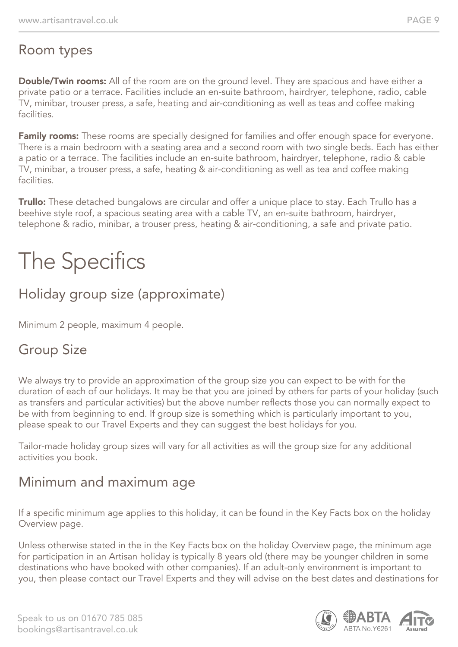### Room types

**Double/Twin rooms:** All of the room are on the ground level. They are spacious and have either a private patio or a terrace. Facilities include an en-suite bathroom, hairdryer, telephone, radio, cable TV, minibar, trouser press, a safe, heating and air-conditioning as well as teas and coffee making facilities.

Family rooms: These rooms are specially designed for families and offer enough space for everyone. There is a main bedroom with a seating area and a second room with two single beds. Each has either a patio or a terrace. The facilities include an en-suite bathroom, hairdryer, telephone, radio & cable TV, minibar, a trouser press, a safe, heating & air-conditioning as well as tea and coffee making facilities.

**Trullo:** These detached bungalows are circular and offer a unique place to stay. Each Trullo has a beehive style roof, a spacious seating area with a cable TV, an en-suite bathroom, hairdryer, telephone & radio, minibar, a trouser press, heating & air-conditioning, a safe and private patio.

# The Specifics

### Holiday group size (approximate)

Minimum 2 people, maximum 4 people.

### Group Size

We always try to provide an approximation of the group size you can expect to be with for the duration of each of our holidays. It may be that you are joined by others for parts of your holiday (such as transfers and particular activities) but the above number reflects those you can normally expect to be with from beginning to end. If group size is something which is particularly important to you, please speak to our Travel Experts and they can suggest the best holidays for you.

Tailor-made holiday group sizes will vary for all activities as will the group size for any additional activities you book.

### Minimum and maximum age

If a specific minimum age applies to this holiday, it can be found in the Key Facts box on the holiday Overview page.

Unless otherwise stated in the in the Key Facts box on the holiday Overview page, the minimum age for participation in an Artisan holiday is typically 8 years old (there may be younger children in some destinations who have booked with other companies). If an adult-only environment is important to you, then please contact our Travel Experts and they will advise on the best dates and destinations for

![](_page_8_Picture_16.jpeg)